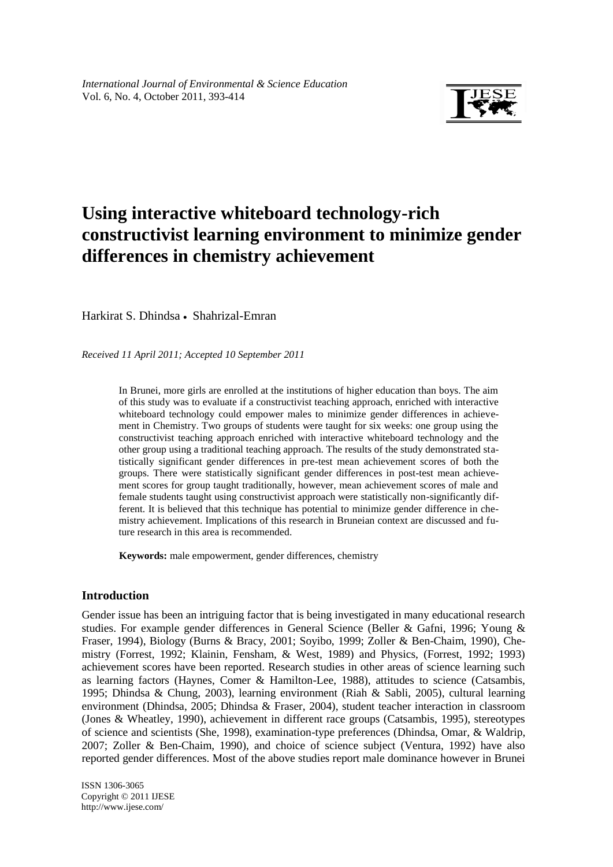

# **Using interactive whiteboard technology-rich constructivist learning environment to minimize gender differences in chemistry achievement**

Harkirat S. Dhindsa • Shahrizal-Emran

*Received 11 April 2011; Accepted 10 September 2011*

In Brunei, more girls are enrolled at the institutions of higher education than boys. The aim of this study was to evaluate if a constructivist teaching approach, enriched with interactive whiteboard technology could empower males to minimize gender differences in achievement in Chemistry. Two groups of students were taught for six weeks: one group using the constructivist teaching approach enriched with interactive whiteboard technology and the other group using a traditional teaching approach. The results of the study demonstrated statistically significant gender differences in pre-test mean achievement scores of both the groups. There were statistically significant gender differences in post-test mean achievement scores for group taught traditionally, however, mean achievement scores of male and female students taught using constructivist approach were statistically non-significantly different. It is believed that this technique has potential to minimize gender difference in chemistry achievement. Implications of this research in Bruneian context are discussed and future research in this area is recommended.

**Keywords:** male empowerment, gender differences, chemistry

## **Introduction**

Gender issue has been an intriguing factor that is being investigated in many educational research studies. For example gender differences in General Science (Beller & Gafni, 1996; Young & Fraser, 1994), Biology (Burns & Bracy, 2001; Soyibo, 1999; Zoller & Ben-Chaim, 1990), Chemistry (Forrest, 1992; Klainin, Fensham, & West, 1989) and Physics, (Forrest, 1992; 1993) achievement scores have been reported. Research studies in other areas of science learning such as learning factors (Haynes, Comer & Hamilton-Lee, 1988), attitudes to science (Catsambis, 1995; Dhindsa & Chung, 2003), learning environment (Riah & Sabli, 2005), cultural learning environment (Dhindsa, 2005; Dhindsa & Fraser, 2004), student teacher interaction in classroom (Jones & Wheatley, 1990), achievement in different race groups (Catsambis, 1995), stereotypes of science and scientists (She, 1998), examination-type preferences (Dhindsa, Omar, & Waldrip, 2007; Zoller & Ben-Chaim, 1990), and choice of science subject (Ventura, 1992) have also reported gender differences. Most of the above studies report male dominance however in Brunei

ISSN 1306-3065 Copyright © 2011 IJESE <http://www.ijese.com/>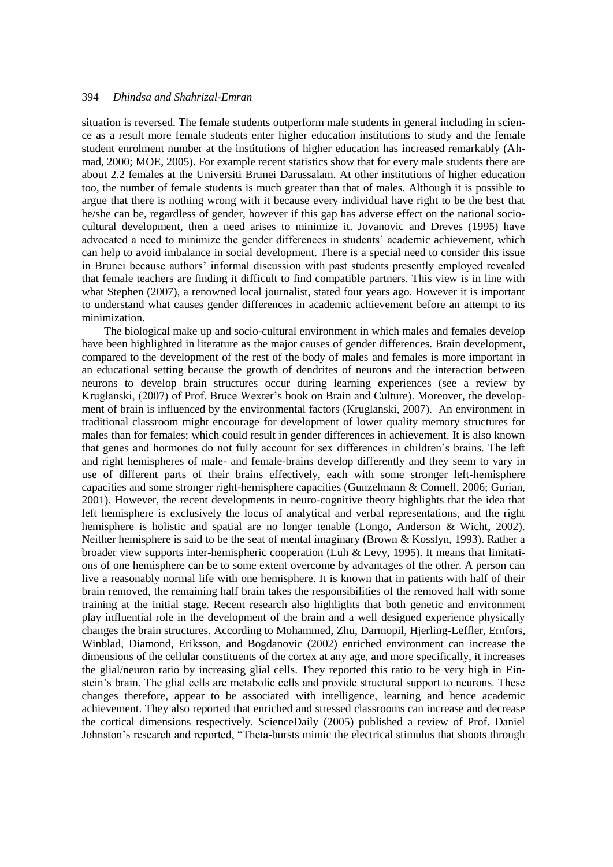situation is reversed. The female students outperform male students in general including in science as a result more female students enter higher education institutions to study and the female student enrolment number at the institutions of higher education has increased remarkably (Ahmad, 2000; MOE, 2005). For example recent statistics show that for every male students there are about 2.2 females at the Universiti Brunei Darussalam. At other institutions of higher education too, the number of female students is much greater than that of males. Although it is possible to argue that there is nothing wrong with it because every individual have right to be the best that he/she can be, regardless of gender, however if this gap has adverse effect on the national sociocultural development, then a need arises to minimize it. Jovanovic and Dreves (1995) have advocated a need to minimize the gender differences in students' academic achievement, which can help to avoid imbalance in social development. There is a special need to consider this issue in Brunei because authors' informal discussion with past students presently employed revealed that female teachers are finding it difficult to find compatible partners. This view is in line with what Stephen (2007), a renowned local journalist, stated four years ago. However it is important to understand what causes gender differences in academic achievement before an attempt to its minimization.

The biological make up and socio-cultural environment in which males and females develop have been highlighted in literature as the major causes of gender differences. Brain development, compared to the development of the rest of the body of males and females is more important in an educational setting because the growth of dendrites of neurons and the interaction between neurons to develop brain structures occur during learning experiences (see a review by Kruglanski, (2007) of Prof. Bruce Wexter's book on Brain and Culture). Moreover, the development of brain is influenced by the environmental factors (Kruglanski, 2007). An environment in traditional classroom might encourage for development of lower quality memory structures for males than for females; which could result in gender differences in achievement. It is also known that genes and hormones do not fully account for sex differences in children's brains. The left and right hemispheres of male- and female-brains develop differently and they seem to vary in use of different parts of their brains effectively, each with some stronger left-hemisphere capacities and some stronger right-hemisphere capacities (Gunzelmann & Connell, 2006; Gurian, 2001). However, the recent developments in neuro-cognitive theory highlights that the idea that left hemisphere is exclusively the locus of analytical and verbal representations, and the right hemisphere is holistic and spatial are no longer tenable (Longo, Anderson & Wicht, 2002). Neither hemisphere is said to be the seat of mental imaginary (Brown & Kosslyn, 1993). Rather a broader view supports inter-hemispheric cooperation (Luh & Levy, 1995). It means that limitations of one hemisphere can be to some extent overcome by advantages of the other. A person can live a reasonably normal life with one hemisphere. It is known that in patients with half of their brain removed, the remaining half brain takes the responsibilities of the removed half with some training at the initial stage. Recent research also highlights that both genetic and environment play influential role in the development of the brain and a well designed experience physically changes the brain structures. According to Mohammed, Zhu, Darmopil, Hjerling-Leffler, Ernfors, Winblad, Diamond, Eriksson, and Bogdanovic (2002) enriched environment can increase the dimensions of the cellular constituents of the cortex at any age, and more specifically, it increases the glial/neuron ratio by increasing glial cells. They reported this ratio to be very high in Einstein's brain. The glial cells are metabolic cells and provide structural support to neurons. These changes therefore, appear to be associated with intelligence, learning and hence academic achievement. They also reported that enriched and stressed classrooms can increase and decrease the cortical dimensions respectively. ScienceDaily (2005) published a review of Prof. Daniel Johnston's research and reported, "Theta-bursts mimic the electrical stimulus that shoots through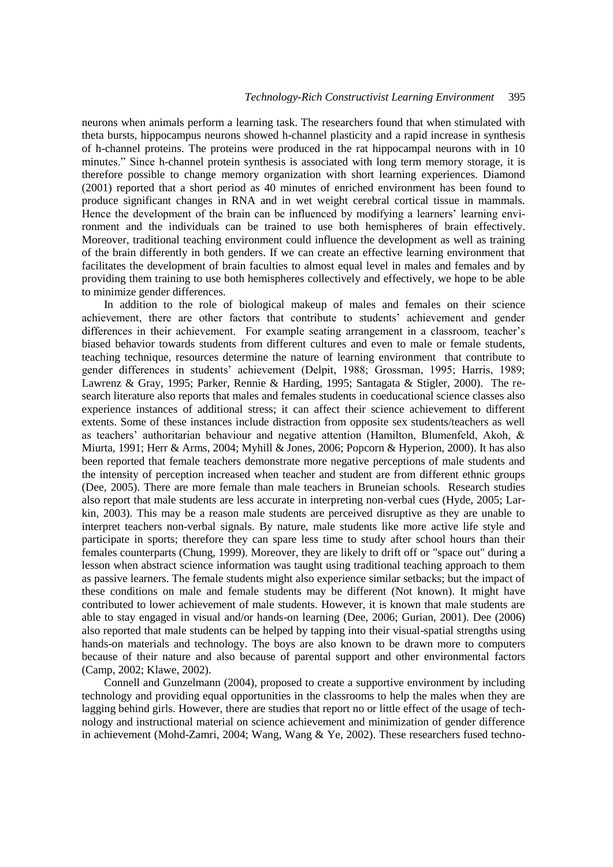neurons when animals perform a learning task. The researchers found that when stimulated with theta bursts, hippocampus neurons showed h-channel plasticity and a rapid increase in synthesis of h-channel proteins. The proteins were produced in the rat hippocampal neurons with in 10 minutes." Since h-channel protein synthesis is associated with long term memory storage, it is therefore possible to change memory organization with short learning experiences. Diamond (2001) reported that a short period as 40 minutes of enriched environment has been found to produce significant changes in RNA and in wet weight cerebral cortical tissue in mammals. Hence the development of the brain can be influenced by modifying a learners' learning environment and the individuals can be trained to use both hemispheres of brain effectively. Moreover, traditional teaching environment could influence the development as well as training of the brain differently in both genders. If we can create an effective learning environment that facilitates the development of brain faculties to almost equal level in males and females and by providing them training to use both hemispheres collectively and effectively, we hope to be able to minimize gender differences.

In addition to the role of biological makeup of males and females on their science achievement, there are other factors that contribute to students' achievement and gender differences in their achievement. For example seating arrangement in a classroom, teacher's biased behavior towards students from different cultures and even to male or female students, teaching technique, resources determine the nature of learning environment that contribute to gender differences in students' achievement (Delpit, 1988; Grossman, 1995; Harris, 1989; Lawrenz & Gray, 1995; Parker, Rennie & Harding, 1995; Santagata & Stigler, 2000). The research literature also reports that males and females students in coeducational science classes also experience instances of additional stress; it can affect their science achievement to different extents. Some of these instances include distraction from opposite sex students/teachers as well as teachers' authoritarian behaviour and negative attention (Hamilton, Blumenfeld, Akoh, & Miurta, 1991; Herr & Arms, 2004; Myhill & Jones, 2006; Popcorn & Hyperion, 2000). It has also been reported that female teachers demonstrate more negative perceptions of male students and the intensity of perception increased when teacher and student are from different ethnic groups (Dee, 2005). There are more female than male teachers in Bruneian schools. Research studies also report that male students are less accurate in interpreting non-verbal cues (Hyde, 2005; Larkin, 2003). This may be a reason male students are perceived disruptive as they are unable to interpret teachers non-verbal signals. By nature, male students like more active life style and participate in sports; therefore they can spare less time to study after school hours than their females counterparts (Chung, 1999). Moreover, they are likely to drift off or "space out" during a lesson when abstract science information was taught using traditional teaching approach to them as passive learners. The female students might also experience similar setbacks; but the impact of these conditions on male and female students may be different (Not known). It might have contributed to lower achievement of male students. However, it is known that male students are able to stay engaged in visual and/or hands-on learning (Dee, 2006; Gurian, 2001). Dee (2006) also reported that male students can be helped by tapping into their visual-spatial strengths using hands-on materials and technology. The boys are also known to be drawn more to computers because of their nature and also because of parental support and other environmental factors (Camp, 2002; Klawe, 2002).

Connell and Gunzelmann (2004), proposed to create a supportive environment by including technology and providing equal opportunities in the classrooms to help the males when they are lagging behind girls. However, there are studies that report no or little effect of the usage of technology and instructional material on science achievement and minimization of gender difference in achievement (Mohd-Zamri, 2004; Wang, Wang & Ye, 2002). These researchers fused techno-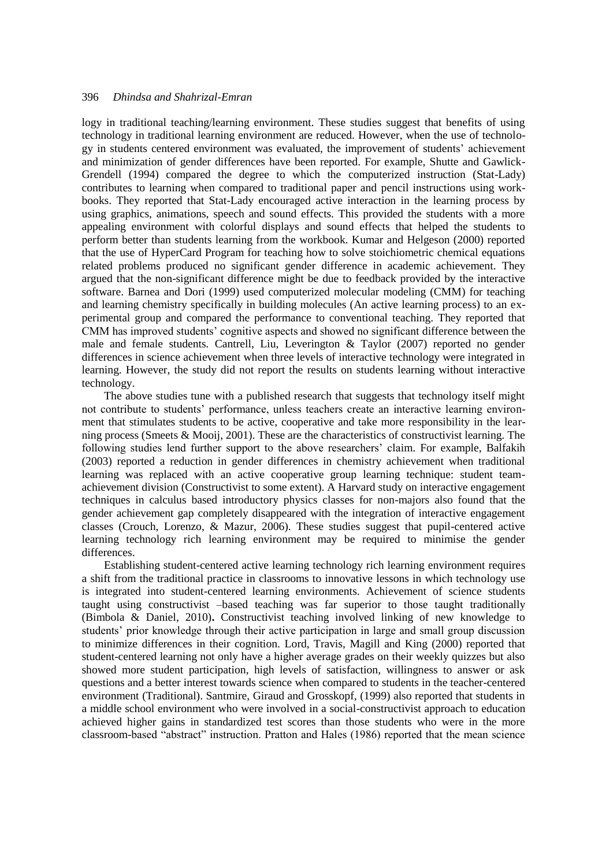logy in traditional teaching/learning environment. These studies suggest that benefits of using technology in traditional learning environment are reduced. However, when the use of technology in students centered environment was evaluated, the improvement of students' achievement and minimization of gender differences have been reported. For example, Shutte and Gawlick-Grendell (1994) compared the degree to which the computerized instruction (Stat-Lady) contributes to learning when compared to traditional paper and pencil instructions using workbooks. They reported that Stat-Lady encouraged active interaction in the learning process by using graphics, animations, speech and sound effects. This provided the students with a more appealing environment with colorful displays and sound effects that helped the students to perform better than students learning from the workbook. Kumar and Helgeson (2000) reported that the use of HyperCard Program for teaching how to solve stoichiometric chemical equations related problems produced no significant gender difference in academic achievement. They argued that the non-significant difference might be due to feedback provided by the interactive software. Barnea and Dori (1999) used computerized molecular modeling (CMM) for teaching and learning chemistry specifically in building molecules (An active learning process) to an experimental group and compared the performance to conventional teaching. They reported that CMM has improved students' cognitive aspects and showed no significant difference between the male and female students. Cantrell, Liu, Leverington & Taylor (2007) reported no gender differences in science achievement when three levels of interactive technology were integrated in learning. However, the study did not report the results on students learning without interactive technology.

The above studies tune with a published research that suggests that technology itself might not contribute to students' performance, unless teachers create an interactive learning environment that stimulates students to be active, cooperative and take more responsibility in the learning process (Smeets & Mooij, 2001). These are the characteristics of constructivist learning. The following studies lend further support to the above researchers' claim. For example, Balfakih (2003) reported a reduction in gender differences in chemistry achievement when traditional learning was replaced with an active cooperative group learning technique: student teamachievement division (Constructivist to some extent). A Harvard study on interactive engagement techniques in calculus based introductory physics classes for non-majors also found that the gender achievement gap completely disappeared with the integration of interactive engagement classes (Crouch, Lorenzo, & Mazur, 2006). These studies suggest that pupil-centered active learning technology rich learning environment may be required to minimise the gender differences.

Establishing student-centered active learning technology rich learning environment requires a shift from the traditional practice in classrooms to innovative lessons in which technology use is integrated into student-centered learning environments. Achievement of science students taught using constructivist –based teaching was far superior to those taught traditionally (Bimbola & Daniel, 2010)**.** Constructivist teaching involved linking of new knowledge to students' prior knowledge through their active participation in large and small group discussion to minimize differences in their cognition. Lord, Travis, Magill and King (2000) reported that student-centered learning not only have a higher average grades on their weekly quizzes but also showed more student participation, high levels of satisfaction, willingness to answer or ask questions and a better interest towards science when compared to students in the teacher-centered environment (Traditional). Santmire, Giraud and Grosskopf, (1999) also reported that students in a middle school environment who were involved in a social-constructivist approach to education achieved higher gains in standardized test scores than those students who were in the more classroom-based "abstract" instruction. Pratton and Hales (1986) reported that the mean science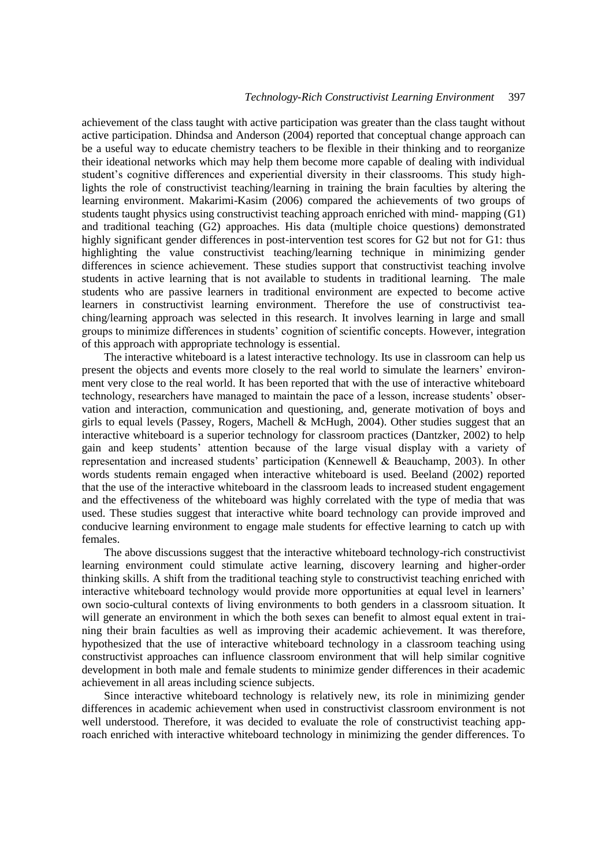achievement of the class taught with active participation was greater than the class taught without active participation. Dhindsa and Anderson (2004) reported that conceptual change approach can be a useful way to educate chemistry teachers to be flexible in their thinking and to reorganize their ideational networks which may help them become more capable of dealing with individual student's cognitive differences and experiential diversity in their classrooms. This study highlights the role of constructivist teaching/learning in training the brain faculties by altering the learning environment. Makarimi-Kasim (2006) compared the achievements of two groups of students taught physics using constructivist teaching approach enriched with mind- mapping (G1) and traditional teaching (G2) approaches. His data (multiple choice questions) demonstrated highly significant gender differences in post-intervention test scores for G2 but not for G1: thus highlighting the value constructivist teaching/learning technique in minimizing gender differences in science achievement. These studies support that constructivist teaching involve students in active learning that is not available to students in traditional learning. The male students who are passive learners in traditional environment are expected to become active learners in constructivist learning environment. Therefore the use of constructivist teaching/learning approach was selected in this research. It involves learning in large and small groups to minimize differences in students' cognition of scientific concepts. However, integration of this approach with appropriate technology is essential.

The interactive whiteboard is a latest interactive technology. Its use in classroom can help us present the objects and events more closely to the real world to simulate the learners' environment very close to the real world. It has been reported that with the use of interactive whiteboard technology, researchers have managed to maintain the pace of a lesson, increase students' observation and interaction, communication and questioning, and, generate motivation of boys and girls to equal levels (Passey, Rogers, Machell & McHugh, 2004). Other studies suggest that an interactive whiteboard is a superior technology for classroom practices (Dantzker, 2002) to help gain and keep students' attention because of the large visual display with a variety of representation and increased students' participation (Kennewell & Beauchamp, 2003). In other words students remain engaged when interactive whiteboard is used. Beeland (2002) reported that the use of the interactive whiteboard in the classroom leads to increased student engagement and the effectiveness of the whiteboard was highly correlated with the type of media that was used. These studies suggest that interactive white board technology can provide improved and conducive learning environment to engage male students for effective learning to catch up with females.

The above discussions suggest that the interactive whiteboard technology-rich constructivist learning environment could stimulate active learning, discovery learning and higher-order thinking skills. A shift from the traditional teaching style to constructivist teaching enriched with interactive whiteboard technology would provide more opportunities at equal level in learners' own socio-cultural contexts of living environments to both genders in a classroom situation. It will generate an environment in which the both sexes can benefit to almost equal extent in training their brain faculties as well as improving their academic achievement. It was therefore, hypothesized that the use of interactive whiteboard technology in a classroom teaching using constructivist approaches can influence classroom environment that will help similar cognitive development in both male and female students to minimize gender differences in their academic achievement in all areas including science subjects.

Since interactive whiteboard technology is relatively new, its role in minimizing gender differences in academic achievement when used in constructivist classroom environment is not well understood. Therefore, it was decided to evaluate the role of constructivist teaching approach enriched with interactive whiteboard technology in minimizing the gender differences. To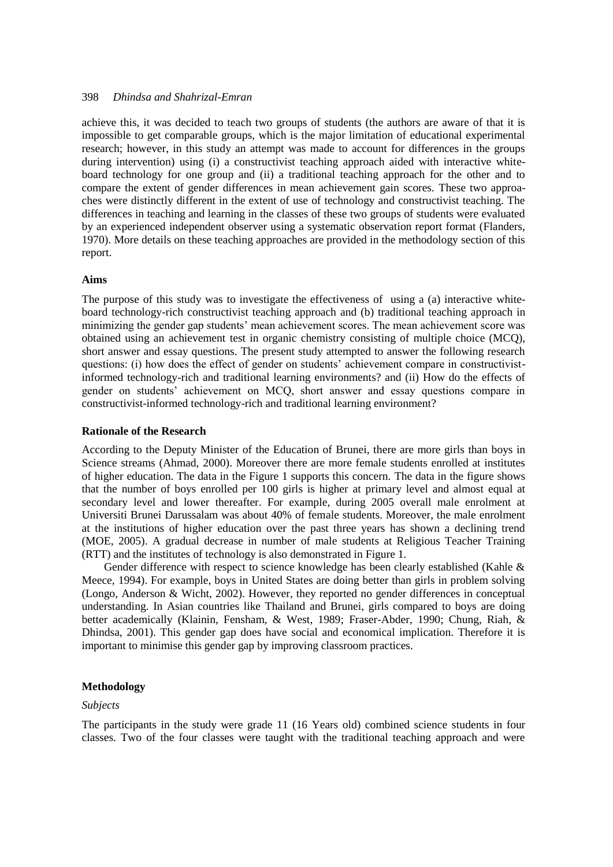achieve this, it was decided to teach two groups of students (the authors are aware of that it is impossible to get comparable groups, which is the major limitation of educational experimental research; however, in this study an attempt was made to account for differences in the groups during intervention) using (i) a constructivist teaching approach aided with interactive whiteboard technology for one group and (ii) a traditional teaching approach for the other and to compare the extent of gender differences in mean achievement gain scores. These two approaches were distinctly different in the extent of use of technology and constructivist teaching. The differences in teaching and learning in the classes of these two groups of students were evaluated by an experienced independent observer using a systematic observation report format (Flanders, 1970). More details on these teaching approaches are provided in the methodology section of this report.

#### **Aims**

The purpose of this study was to investigate the effectiveness of using a (a) interactive whiteboard technology-rich constructivist teaching approach and (b) traditional teaching approach in minimizing the gender gap students' mean achievement scores. The mean achievement score was obtained using an achievement test in organic chemistry consisting of multiple choice (MCQ), short answer and essay questions. The present study attempted to answer the following research questions: (i) how does the effect of gender on students' achievement compare in constructivistinformed technology-rich and traditional learning environments? and (ii) How do the effects of gender on students' achievement on MCQ, short answer and essay questions compare in constructivist-informed technology-rich and traditional learning environment?

#### **Rationale of the Research**

According to the Deputy Minister of the Education of Brunei, there are more girls than boys in Science streams (Ahmad, 2000). Moreover there are more female students enrolled at institutes of higher education. The data in the Figure 1 supports this concern. The data in the figure shows that the number of boys enrolled per 100 girls is higher at primary level and almost equal at secondary level and lower thereafter. For example, during 2005 overall male enrolment at Universiti Brunei Darussalam was about 40% of female students. Moreover, the male enrolment at the institutions of higher education over the past three years has shown a declining trend (MOE, 2005). A gradual decrease in number of male students at Religious Teacher Training (RTT) and the institutes of technology is also demonstrated in Figure 1.

Gender difference with respect to science knowledge has been clearly established (Kahle & Meece, 1994). For example, boys in United States are doing better than girls in problem solving (Longo, Anderson & Wicht, 2002). However, they reported no gender differences in conceptual understanding. In Asian countries like Thailand and Brunei, girls compared to boys are doing better academically (Klainin, Fensham, & West, 1989; Fraser-Abder, 1990; Chung, Riah, & Dhindsa, 2001). This gender gap does have social and economical implication. Therefore it is important to minimise this gender gap by improving classroom practices.

#### **Methodology**

#### *Subjects*

The participants in the study were grade 11 (16 Years old) combined science students in four classes. Two of the four classes were taught with the traditional teaching approach and were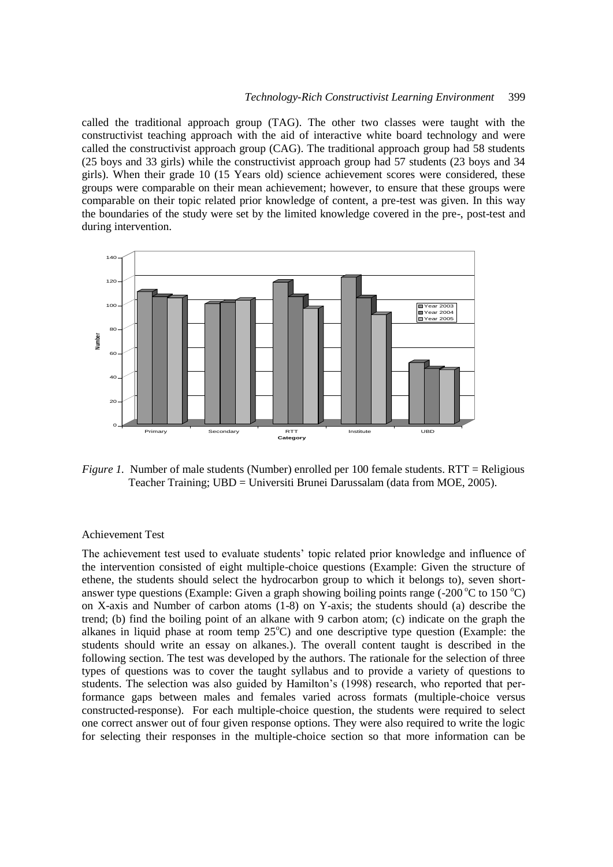called the traditional approach group (TAG). The other two classes were taught with the constructivist teaching approach with the aid of interactive white board technology and were called the constructivist approach group (CAG). The traditional approach group had 58 students (25 boys and 33 girls) while the constructivist approach group had 57 students (23 boys and 34 girls). When their grade 10 (15 Years old) science achievement scores were considered, these groups were comparable on their mean achievement; however, to ensure that these groups were comparable on their topic related prior knowledge of content, a pre-test was given. In this way the boundaries of the study were set by the limited knowledge covered in the pre-, post-test and during intervention.



*Figure 1.* Number of male students (Number) enrolled per 100 female students. RTT = Religious Teacher Training; UBD = Universiti Brunei Darussalam (data from MOE, 2005).

## Achievement Test

The achievement test used to evaluate students' topic related prior knowledge and influence of the intervention consisted of eight multiple-choice questions (Example: Given the structure of ethene, the students should select the hydrocarbon group to which it belongs to), seven shortanswer type questions (Example: Given a graph showing boiling points range (-200  $\degree$ C to 150  $\degree$ C) on X-axis and Number of carbon atoms (1-8) on Y-axis; the students should (a) describe the trend; (b) find the boiling point of an alkane with 9 carbon atom; (c) indicate on the graph the alkanes in liquid phase at room temp  $25^{\circ}$ C) and one descriptive type question (Example: the students should write an essay on alkanes.). The overall content taught is described in the following section. The test was developed by the authors. The rationale for the selection of three types of questions was to cover the taught syllabus and to provide a variety of questions to students. The selection was also guided by Hamilton's (1998) research, who reported that performance gaps between males and females varied across formats (multiple-choice versus constructed-response). For each multiple-choice question, the students were required to select one correct answer out of four given response options. They were also required to write the logic for selecting their responses in the multiple-choice section so that more information can be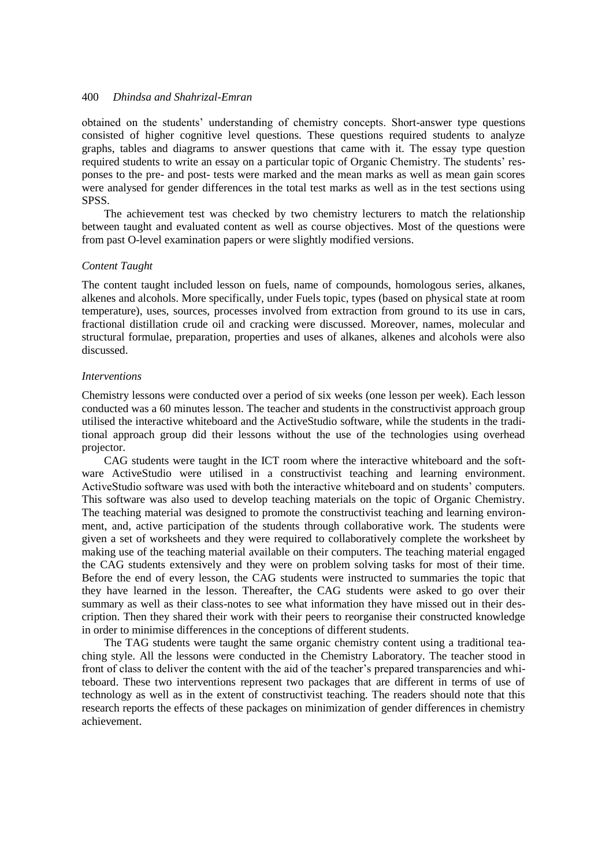obtained on the students' understanding of chemistry concepts. Short-answer type questions consisted of higher cognitive level questions. These questions required students to analyze graphs, tables and diagrams to answer questions that came with it. The essay type question required students to write an essay on a particular topic of Organic Chemistry. The students' responses to the pre- and post- tests were marked and the mean marks as well as mean gain scores were analysed for gender differences in the total test marks as well as in the test sections using SPSS.

The achievement test was checked by two chemistry lecturers to match the relationship between taught and evaluated content as well as course objectives. Most of the questions were from past O-level examination papers or were slightly modified versions.

#### *Content Taught*

The content taught included lesson on fuels, name of compounds, homologous series, alkanes, alkenes and alcohols. More specifically, under Fuels topic, types (based on physical state at room temperature), uses, sources, processes involved from extraction from ground to its use in cars, fractional distillation crude oil and cracking were discussed. Moreover, names, molecular and structural formulae, preparation, properties and uses of alkanes, alkenes and alcohols were also discussed.

#### *Interventions*

Chemistry lessons were conducted over a period of six weeks (one lesson per week). Each lesson conducted was a 60 minutes lesson. The teacher and students in the constructivist approach group utilised the interactive whiteboard and the ActiveStudio software, while the students in the traditional approach group did their lessons without the use of the technologies using overhead projector.

CAG students were taught in the ICT room where the interactive whiteboard and the software ActiveStudio were utilised in a constructivist teaching and learning environment. ActiveStudio software was used with both the interactive whiteboard and on students' computers. This software was also used to develop teaching materials on the topic of Organic Chemistry. The teaching material was designed to promote the constructivist teaching and learning environment, and, active participation of the students through collaborative work. The students were given a set of worksheets and they were required to collaboratively complete the worksheet by making use of the teaching material available on their computers. The teaching material engaged the CAG students extensively and they were on problem solving tasks for most of their time. Before the end of every lesson, the CAG students were instructed to summaries the topic that they have learned in the lesson. Thereafter, the CAG students were asked to go over their summary as well as their class-notes to see what information they have missed out in their description. Then they shared their work with their peers to reorganise their constructed knowledge in order to minimise differences in the conceptions of different students.

The TAG students were taught the same organic chemistry content using a traditional teaching style. All the lessons were conducted in the Chemistry Laboratory. The teacher stood in front of class to deliver the content with the aid of the teacher's prepared transparencies and whiteboard. These two interventions represent two packages that are different in terms of use of technology as well as in the extent of constructivist teaching. The readers should note that this research reports the effects of these packages on minimization of gender differences in chemistry achievement.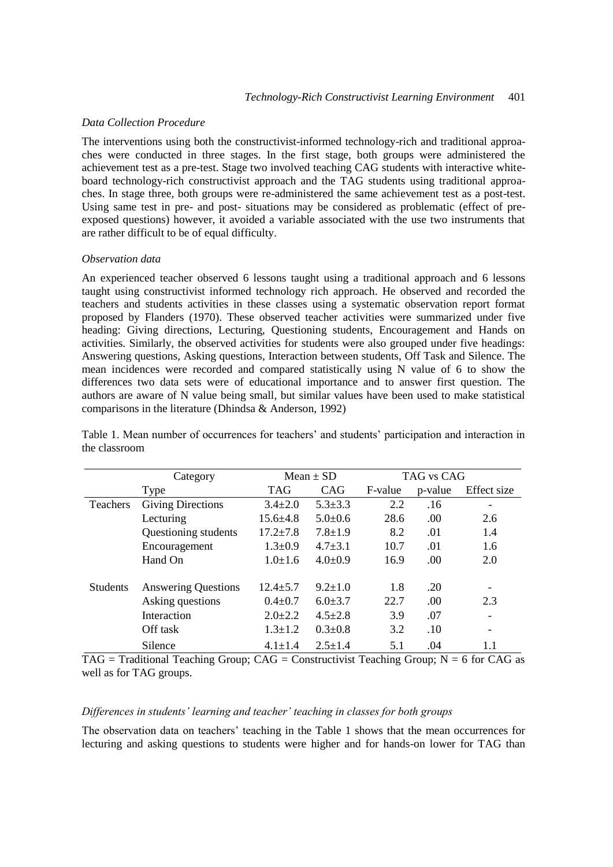#### *Data Collection Procedure*

The interventions using both the constructivist-informed technology-rich and traditional approaches were conducted in three stages. In the first stage, both groups were administered the achievement test as a pre-test. Stage two involved teaching CAG students with interactive whiteboard technology-rich constructivist approach and the TAG students using traditional approaches. In stage three, both groups were re-administered the same achievement test as a post-test. Using same test in pre- and post- situations may be considered as problematic (effect of preexposed questions) however, it avoided a variable associated with the use two instruments that are rather difficult to be of equal difficulty.

## *Observation data*

An experienced teacher observed 6 lessons taught using a traditional approach and 6 lessons taught using constructivist informed technology rich approach. He observed and recorded the teachers and students activities in these classes using a systematic observation report format proposed by Flanders (1970). These observed teacher activities were summarized under five heading: Giving directions, Lecturing, Questioning students, Encouragement and Hands on activities. Similarly, the observed activities for students were also grouped under five headings: Answering questions, Asking questions, Interaction between students, Off Task and Silence. The mean incidences were recorded and compared statistically using N value of 6 to show the differences two data sets were of educational importance and to answer first question. The authors are aware of N value being small, but similar values have been used to make statistical comparisons in the literature (Dhindsa & Anderson, 1992)

|                 | Category                   |                | Mean $\pm$ SD |         | TAG vs CAG |                          |  |
|-----------------|----------------------------|----------------|---------------|---------|------------|--------------------------|--|
|                 | Type                       | <b>TAG</b>     | CAG           | F-value | p-value    | Effect size              |  |
| Teachers        | <b>Giving Directions</b>   | $3.4 \pm 2.0$  | $5.3 \pm 3.3$ | 2.2     | .16        |                          |  |
|                 | Lecturing                  | $15.6 \pm 4.8$ | $5.0 \pm 0.6$ | 28.6    | .00        | 2.6                      |  |
|                 | Questioning students       | $17.2 \pm 7.8$ | $7.8 \pm 1.9$ | 8.2     | .01        | 1.4                      |  |
|                 | Encouragement              | $1.3 \pm 0.9$  | $4.7 \pm 3.1$ | 10.7    | .01        | 1.6                      |  |
|                 | Hand On                    | $1.0 \pm 1.6$  | $4.0 \pm 0.9$ | 16.9    | .00        | 2.0                      |  |
| <b>Students</b> | <b>Answering Questions</b> | $12.4 \pm 5.7$ | $9.2 \pm 1.0$ | 1.8     | .20        | -                        |  |
|                 | Asking questions           | $0.4 \pm 0.7$  | $6.0 \pm 3.7$ | 22.7    | .00        | 2.3                      |  |
|                 | Interaction                | $2.0 \pm 2.2$  | $4.5 \pm 2.8$ | 3.9     | .07        | $\overline{\phantom{0}}$ |  |
|                 | Off task                   | $1.3 \pm 1.2$  | $0.3 \pm 0.8$ | 3.2     | .10        | $\overline{\phantom{a}}$ |  |
|                 | Silence                    | $4.1 \pm 1.4$  | $2.5 + 1.4$   | 5.1     | .04        | 1.1                      |  |

Table 1. Mean number of occurrences for teachers' and students' participation and interaction in the classroom

 $TAG = Traditional Teaching Group; CAG = Constructivist Teaching Group; N = 6 for CAG as$ well as for TAG groups.

#### *Differences in students' learning and teacher' teaching in classes for both groups*

The observation data on teachers' teaching in the Table 1 shows that the mean occurrences for lecturing and asking questions to students were higher and for hands-on lower for TAG than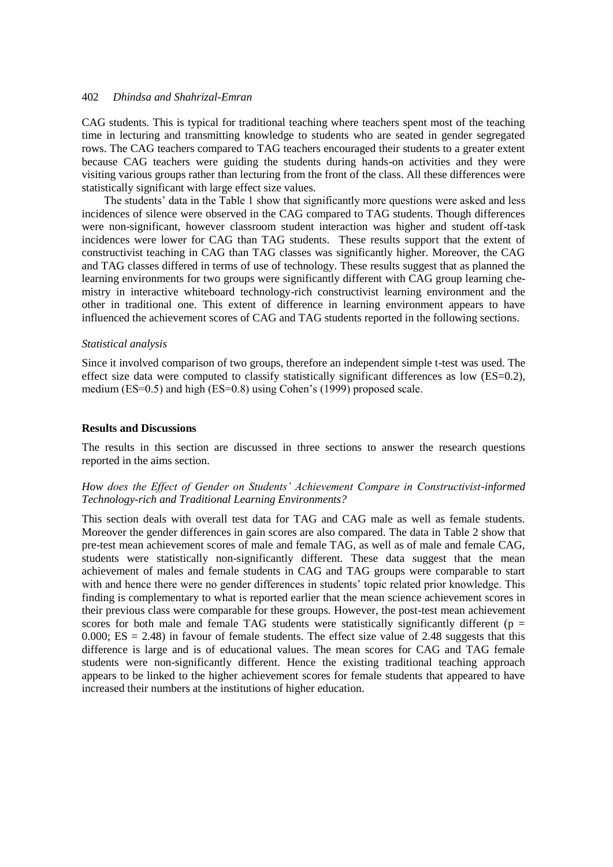CAG students. This is typical for traditional teaching where teachers spent most of the teaching time in lecturing and transmitting knowledge to students who are seated in gender segregated rows. The CAG teachers compared to TAG teachers encouraged their students to a greater extent because CAG teachers were guiding the students during hands-on activities and they were visiting various groups rather than lecturing from the front of the class. All these differences were statistically significant with large effect size values.

The students' data in the Table 1 show that significantly more questions were asked and less incidences of silence were observed in the CAG compared to TAG students. Though differences were non-significant, however classroom student interaction was higher and student off-task incidences were lower for CAG than TAG students. These results support that the extent of constructivist teaching in CAG than TAG classes was significantly higher. Moreover, the CAG and TAG classes differed in terms of use of technology. These results suggest that as planned the learning environments for two groups were significantly different with CAG group learning chemistry in interactive whiteboard technology-rich constructivist learning environment and the other in traditional one. This extent of difference in learning environment appears to have influenced the achievement scores of CAG and TAG students reported in the following sections.

#### *Statistical analysis*

Since it involved comparison of two groups, therefore an independent simple t-test was used. The effect size data were computed to classify statistically significant differences as low (ES=0.2), medium (ES=0.5) and high (ES=0.8) using Cohen's (1999) proposed scale.

#### **Results and Discussions**

The results in this section are discussed in three sections to answer the research questions reported in the aims section.

## *How does the Effect of Gender on Students' Achievement Compare in Constructivist-informed Technology-rich and Traditional Learning Environments?*

This section deals with overall test data for TAG and CAG male as well as female students. Moreover the gender differences in gain scores are also compared. The data in Table 2 show that pre-test mean achievement scores of male and female TAG, as well as of male and female CAG, students were statistically non-significantly different. These data suggest that the mean achievement of males and female students in CAG and TAG groups were comparable to start with and hence there were no gender differences in students' topic related prior knowledge. This finding is complementary to what is reported earlier that the mean science achievement scores in their previous class were comparable for these groups. However, the post-test mean achievement scores for both male and female TAG students were statistically significantly different ( $p =$ 0.000;  $ES = 2.48$ ) in favour of female students. The effect size value of 2.48 suggests that this difference is large and is of educational values. The mean scores for CAG and TAG female students were non-significantly different. Hence the existing traditional teaching approach appears to be linked to the higher achievement scores for female students that appeared to have increased their numbers at the institutions of higher education.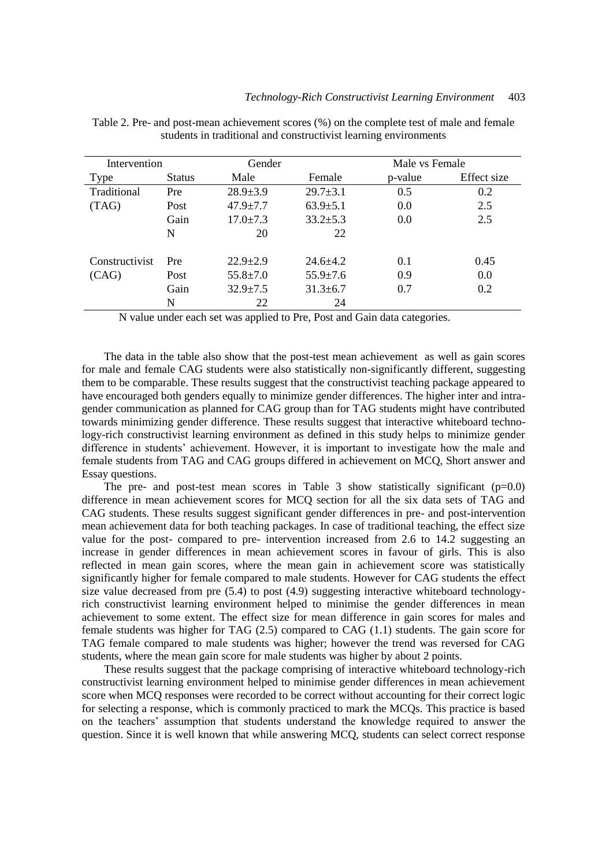| Intervention   |               | Gender         |                | Male vs Female |             |
|----------------|---------------|----------------|----------------|----------------|-------------|
| Type           | <b>Status</b> | Male           | Female         | p-value        | Effect size |
| Traditional    | Pre           | $28.9 \pm 3.9$ | $29.7 \pm 3.1$ | 0.5            | 0.2         |
| (TAG)          | Post          | $47.9 \pm 7.7$ | $63.9 \pm 5.1$ | 0.0            | 2.5         |
|                | Gain          | $17.0 \pm 7.3$ | $33.2 \pm 5.3$ | 0.0            | 2.5         |
|                | N             | 20             | 22             |                |             |
| Constructivist | Pre           | $22.9 + 2.9$   | $24.6 \pm 4.2$ | 0.1            | 0.45        |
| (CAG)          | Post          | $55.8 \pm 7.0$ | $55.9 \pm 7.6$ | 0.9            | 0.0         |
|                | Gain          | $32.9 \pm 7.5$ | $31.3 \pm 6.7$ | 0.7            | 0.2         |
|                | N             | 22             | 24             |                |             |

Table 2. Pre- and post-mean achievement scores (%) on the complete test of male and female students in traditional and constructivist learning environments

N value under each set was applied to Pre, Post and Gain data categories.

The data in the table also show that the post-test mean achievement as well as gain scores for male and female CAG students were also statistically non-significantly different, suggesting them to be comparable. These results suggest that the constructivist teaching package appeared to have encouraged both genders equally to minimize gender differences. The higher inter and intragender communication as planned for CAG group than for TAG students might have contributed towards minimizing gender difference. These results suggest that interactive whiteboard technology-rich constructivist learning environment as defined in this study helps to minimize gender difference in students' achievement. However, it is important to investigate how the male and female students from TAG and CAG groups differed in achievement on MCQ, Short answer and Essay questions.

The pre- and post-test mean scores in Table 3 show statistically significant  $(p=0.0)$ difference in mean achievement scores for MCQ section for all the six data sets of TAG and CAG students. These results suggest significant gender differences in pre- and post-intervention mean achievement data for both teaching packages. In case of traditional teaching, the effect size value for the post- compared to pre- intervention increased from 2.6 to 14.2 suggesting an increase in gender differences in mean achievement scores in favour of girls. This is also reflected in mean gain scores, where the mean gain in achievement score was statistically significantly higher for female compared to male students. However for CAG students the effect size value decreased from pre (5.4) to post (4.9) suggesting interactive whiteboard technologyrich constructivist learning environment helped to minimise the gender differences in mean achievement to some extent. The effect size for mean difference in gain scores for males and female students was higher for TAG (2.5) compared to CAG (1.1) students. The gain score for TAG female compared to male students was higher; however the trend was reversed for CAG students, where the mean gain score for male students was higher by about 2 points.

These results suggest that the package comprising of interactive whiteboard technology-rich constructivist learning environment helped to minimise gender differences in mean achievement score when MCQ responses were recorded to be correct without accounting for their correct logic for selecting a response, which is commonly practiced to mark the MCQs. This practice is based on the teachers' assumption that students understand the knowledge required to answer the question. Since it is well known that while answering MCQ, students can select correct response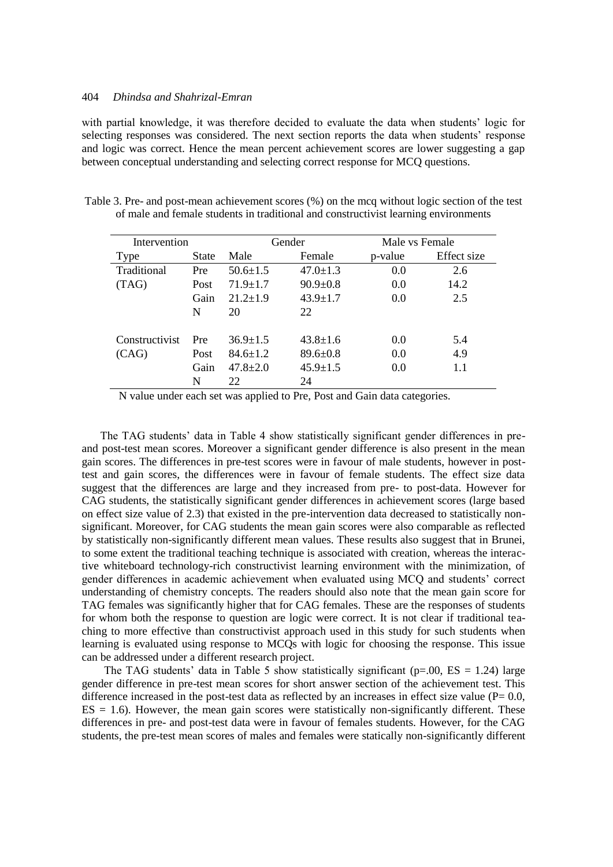with partial knowledge, it was therefore decided to evaluate the data when students' logic for selecting responses was considered. The next section reports the data when students' response and logic was correct. Hence the mean percent achievement scores are lower suggesting a gap between conceptual understanding and selecting correct response for MCQ questions.

| Table 3. Pre- and post-mean achievement scores (%) on the mcq without logic section of the test |  |
|-------------------------------------------------------------------------------------------------|--|
| of male and female students in traditional and constructivist learning environments             |  |

| Intervention   |       | Gender         |                |         | Male vs Female |  |
|----------------|-------|----------------|----------------|---------|----------------|--|
| Type           | State | Male           | Female         | p-value | Effect size    |  |
| Traditional    | Pre   | $50.6 \pm 1.5$ | $47.0 \pm 1.3$ | 0.0     | 2.6            |  |
| (TAG)          | Post  | $71.9 \pm 1.7$ | $90.9 \pm 0.8$ | 0.0     | 14.2           |  |
|                | Gain  | $21.2 \pm 1.9$ | $43.9 \pm 1.7$ | 0.0     | 2.5            |  |
|                | N     | 20             | 22             |         |                |  |
|                |       |                |                |         |                |  |
| Constructivist | Pre   | $36.9 \pm 1.5$ | $43.8 \pm 1.6$ | 0.0     | 5.4            |  |
| (CAG)          | Post  | $84.6 \pm 1.2$ | $89.6 \pm 0.8$ | 0.0     | 4.9            |  |
|                | Gain  | $47.8 \pm 2.0$ | $45.9 \pm 1.5$ | 0.0     | 1.1            |  |
|                | N     | 22             | 24             |         |                |  |

N value under each set was applied to Pre, Post and Gain data categories.

The TAG students' data in Table 4 show statistically significant gender differences in preand post-test mean scores. Moreover a significant gender difference is also present in the mean gain scores. The differences in pre-test scores were in favour of male students, however in posttest and gain scores, the differences were in favour of female students. The effect size data suggest that the differences are large and they increased from pre- to post-data. However for CAG students, the statistically significant gender differences in achievement scores (large based on effect size value of 2.3) that existed in the pre-intervention data decreased to statistically nonsignificant. Moreover, for CAG students the mean gain scores were also comparable as reflected by statistically non-significantly different mean values. These results also suggest that in Brunei, to some extent the traditional teaching technique is associated with creation, whereas the interactive whiteboard technology-rich constructivist learning environment with the minimization, of gender differences in academic achievement when evaluated using MCQ and students' correct understanding of chemistry concepts. The readers should also note that the mean gain score for TAG females was significantly higher that for CAG females. These are the responses of students for whom both the response to question are logic were correct. It is not clear if traditional teaching to more effective than constructivist approach used in this study for such students when learning is evaluated using response to MCQs with logic for choosing the response. This issue can be addressed under a different research project.

The TAG students' data in Table 5 show statistically significant ( $p=0.00$ ,  $ES = 1.24$ ) large gender difference in pre-test mean scores for short answer section of the achievement test. This difference increased in the post-test data as reflected by an increases in effect size value ( $P= 0.0$ ,  $ES = 1.6$ ). However, the mean gain scores were statistically non-significantly different. These differences in pre- and post-test data were in favour of females students. However, for the CAG students, the pre-test mean scores of males and females were statically non-significantly different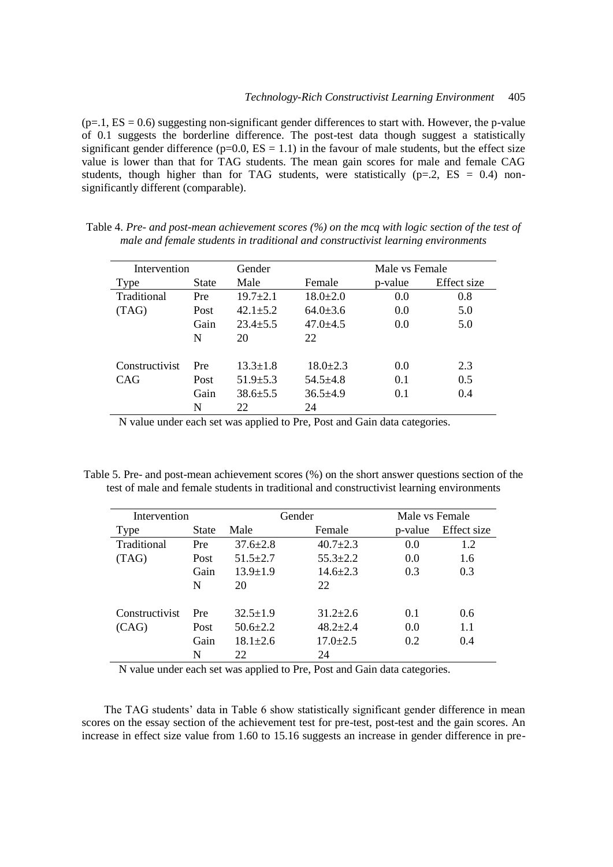$(p=1, ES = 0.6)$  suggesting non-significant gender differences to start with. However, the p-value of 0.1 suggests the borderline difference. The post-test data though suggest a statistically significant gender difference ( $p=0.0$ ,  $ES = 1.1$ ) in the favour of male students, but the effect size value is lower than that for TAG students. The mean gain scores for male and female CAG students, though higher than for TAG students, were statistically  $(p=2, ES = 0.4)$  nonsignificantly different (comparable).

| Intervention   |              | Male vs Female<br>Gender |                |         |             |
|----------------|--------------|--------------------------|----------------|---------|-------------|
| Type           | <b>State</b> | Male                     | Female         | p-value | Effect size |
| Traditional    | Pre          | $19.7 \pm 2.1$           | $18.0 \pm 2.0$ | 0.0     | 0.8         |
| (TAG)          | Post         | $42.1 \pm 5.2$           | $64.0 \pm 3.6$ | 0.0     | 5.0         |
|                | Gain         | $23.4 \pm 5.5$           | $47.0 + 4.5$   | 0.0     | 5.0         |
|                | N            | 20                       | 22             |         |             |
| Constructivist | Pre          | $13.3 \pm 1.8$           | $18.0 \pm 2.3$ | 0.0     | 2.3         |
| CAG            | Post         | $51.9 \pm 5.3$           | $54.5 + 4.8$   | 0.1     | 0.5         |
|                | Gain         | $38.6 \pm 5.5$           | $36.5 \pm 4.9$ | 0.1     | 0.4         |
|                | N            | 22                       | 24             |         |             |

Table 4. *Pre- and post-mean achievement scores (%) on the mcq with logic section of the test of male and female students in traditional and constructivist learning environments*

N value under each set was applied to Pre, Post and Gain data categories.

Table 5. Pre- and post-mean achievement scores (%) on the short answer questions section of the test of male and female students in traditional and constructivist learning environments

| Intervention   |       | Gender         |                | Male vs Female |             |
|----------------|-------|----------------|----------------|----------------|-------------|
| Type           | State | Male           | Female         | p-value        | Effect size |
| Traditional    | Pre   | $37.6 \pm 2.8$ | $40.7 \pm 2.3$ | 0.0            | 1.2         |
| (TAG)          | Post  | $51.5 \pm 2.7$ | $55.3 \pm 2.2$ | 0.0            | 1.6         |
|                | Gain  | $13.9 \pm 1.9$ | $14.6 \pm 2.3$ | 0.3            | 0.3         |
|                | N     | 20             | 22.            |                |             |
| Constructivist | Pre   | $32.5 \pm 1.9$ | $31.2 \pm 2.6$ | 0.1            | 0.6         |
| (CAG)          | Post  | $50.6 \pm 2.2$ | $48.2 \pm 2.4$ | 0.0            | 1.1         |
|                | Gain  | $18.1 \pm 2.6$ | $17.0 \pm 2.5$ | 0.2            | 0.4         |
|                | N     | 22.            | 24             |                |             |

N value under each set was applied to Pre, Post and Gain data categories.

The TAG students' data in Table 6 show statistically significant gender difference in mean scores on the essay section of the achievement test for pre-test, post-test and the gain scores. An increase in effect size value from 1.60 to 15.16 suggests an increase in gender difference in pre-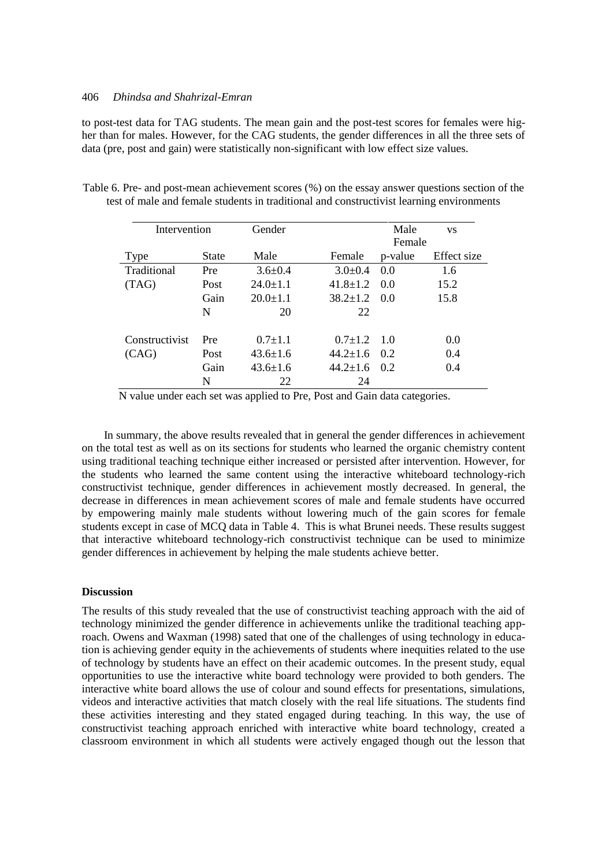to post-test data for TAG students. The mean gain and the post-test scores for females were higher than for males. However, for the CAG students, the gender differences in all the three sets of data (pre, post and gain) were statistically non-significant with low effect size values.

| Intervention   |              | Gender         |                | Male          | <b>VS</b>   |
|----------------|--------------|----------------|----------------|---------------|-------------|
|                |              |                |                | Female        |             |
| Type           | <b>State</b> | Male           | Female         | p-value       | Effect size |
| Traditional    | Pre          | $3.6 + 0.4$    | $3.0 \pm 0.4$  | $0.0^{\circ}$ | 1.6         |
| (TAG)          | Post         | $24.0 \pm 1.1$ | $41.8 \pm 1.2$ | (0.0)         | 15.2        |
|                | Gain         | $20.0 \pm 1.1$ | $38.2 \pm 1.2$ | 0.0           | 15.8        |
|                | N            | 20             | 22             |               |             |
| Constructivist | Pre          | $0.7 + 1.1$    | $0.7 + 1.2$    | 10            | 0.0         |
| (CAG)          | Post         | $43.6 \pm 1.6$ | $44.2 + 1.6$   | 0.2           | 0.4         |
|                | Gain         | $43.6 \pm 1.6$ | $44.2 + 1.6$   | 02            | 0.4         |
|                | N            | 22             | 24             |               |             |

Table 6. Pre- and post-mean achievement scores (%) on the essay answer questions section of the test of male and female students in traditional and constructivist learning environments

N value under each set was applied to Pre, Post and Gain data categories.

In summary, the above results revealed that in general the gender differences in achievement on the total test as well as on its sections for students who learned the organic chemistry content using traditional teaching technique either increased or persisted after intervention. However, for the students who learned the same content using the interactive whiteboard technology-rich constructivist technique, gender differences in achievement mostly decreased. In general, the decrease in differences in mean achievement scores of male and female students have occurred by empowering mainly male students without lowering much of the gain scores for female students except in case of MCQ data in Table 4. This is what Brunei needs. These results suggest that interactive whiteboard technology-rich constructivist technique can be used to minimize gender differences in achievement by helping the male students achieve better.

#### **Discussion**

The results of this study revealed that the use of constructivist teaching approach with the aid of technology minimized the gender difference in achievements unlike the traditional teaching approach. Owens and Waxman (1998) sated that one of the challenges of using technology in education is achieving gender equity in the achievements of students where inequities related to the use of technology by students have an effect on their academic outcomes. In the present study, equal opportunities to use the interactive white board technology were provided to both genders. The interactive white board allows the use of colour and sound effects for presentations, simulations, videos and interactive activities that match closely with the real life situations. The students find these activities interesting and they stated engaged during teaching. In this way, the use of constructivist teaching approach enriched with interactive white board technology, created a classroom environment in which all students were actively engaged though out the lesson that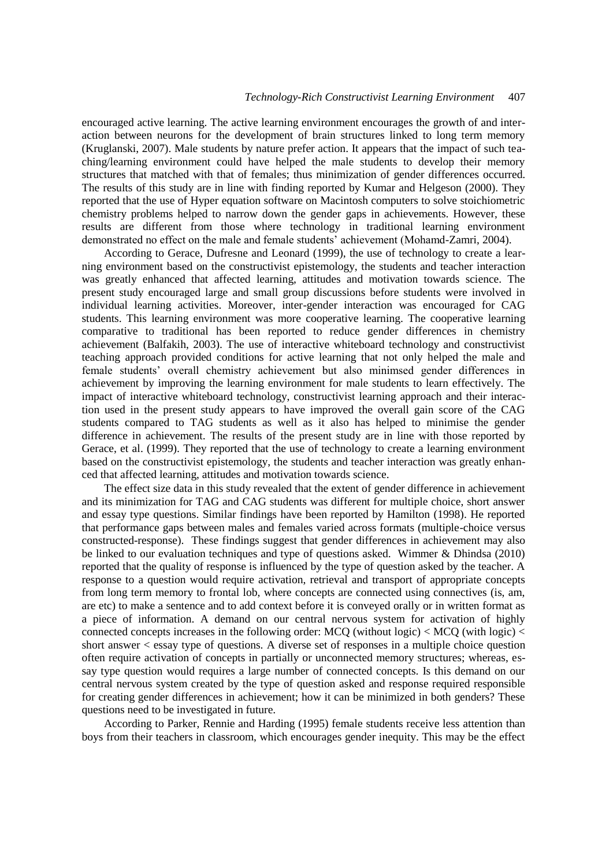encouraged active learning. The active learning environment encourages the growth of and interaction between neurons for the development of brain structures linked to long term memory (Kruglanski, 2007). Male students by nature prefer action. It appears that the impact of such teaching/learning environment could have helped the male students to develop their memory structures that matched with that of females; thus minimization of gender differences occurred. The results of this study are in line with finding reported by Kumar and Helgeson (2000). They reported that the use of Hyper equation software on Macintosh computers to solve stoichiometric chemistry problems helped to narrow down the gender gaps in achievements. However, these results are different from those where technology in traditional learning environment demonstrated no effect on the male and female students' achievement (Mohamd-Zamri, 2004).

According to Gerace, Dufresne and Leonard (1999), the use of technology to create a learning environment based on the constructivist epistemology, the students and teacher interaction was greatly enhanced that affected learning, attitudes and motivation towards science. The present study encouraged large and small group discussions before students were involved in individual learning activities. Moreover, inter-gender interaction was encouraged for CAG students. This learning environment was more cooperative learning. The cooperative learning comparative to traditional has been reported to reduce gender differences in chemistry achievement (Balfakih, 2003). The use of interactive whiteboard technology and constructivist teaching approach provided conditions for active learning that not only helped the male and female students' overall chemistry achievement but also minimsed gender differences in achievement by improving the learning environment for male students to learn effectively. The impact of interactive whiteboard technology, constructivist learning approach and their interaction used in the present study appears to have improved the overall gain score of the CAG students compared to TAG students as well as it also has helped to minimise the gender difference in achievement. The results of the present study are in line with those reported by Gerace, et al. (1999). They reported that the use of technology to create a learning environment based on the constructivist epistemology, the students and teacher interaction was greatly enhanced that affected learning, attitudes and motivation towards science.

The effect size data in this study revealed that the extent of gender difference in achievement and its minimization for TAG and CAG students was different for multiple choice, short answer and essay type questions. Similar findings have been reported by Hamilton (1998). He reported that performance gaps between males and females varied across formats (multiple-choice versus constructed-response). These findings suggest that gender differences in achievement may also be linked to our evaluation techniques and type of questions asked. Wimmer & Dhindsa (2010) reported that the quality of response is influenced by the type of question asked by the teacher. A response to a question would require activation, retrieval and transport of appropriate concepts from long term memory to frontal lob, where concepts are connected using connectives (is, am, are etc) to make a sentence and to add context before it is conveyed orally or in written format as a piece of information. A demand on our central nervous system for activation of highly connected concepts increases in the following order: MCQ (without logic)  $<$  MCQ (with logic)  $<$ short answer < essay type of questions. A diverse set of responses in a multiple choice question often require activation of concepts in partially or unconnected memory structures; whereas, essay type question would requires a large number of connected concepts. Is this demand on our central nervous system created by the type of question asked and response required responsible for creating gender differences in achievement; how it can be minimized in both genders? These questions need to be investigated in future.

According to Parker, Rennie and Harding (1995) female students receive less attention than boys from their teachers in classroom, which encourages gender inequity. This may be the effect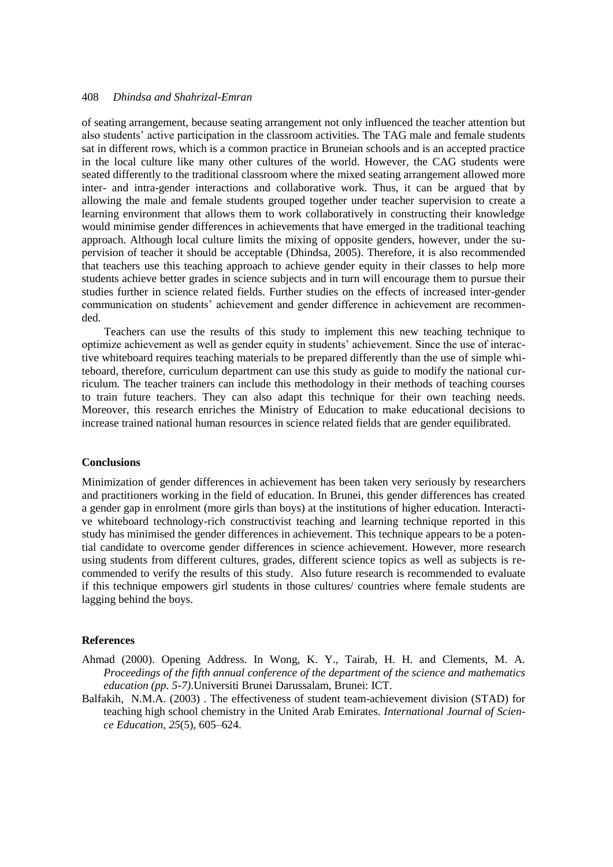of seating arrangement, because seating arrangement not only influenced the teacher attention but also students' active participation in the classroom activities. The TAG male and female students sat in different rows, which is a common practice in Bruneian schools and is an accepted practice in the local culture like many other cultures of the world. However, the CAG students were seated differently to the traditional classroom where the mixed seating arrangement allowed more inter- and intra-gender interactions and collaborative work. Thus, it can be argued that by allowing the male and female students grouped together under teacher supervision to create a learning environment that allows them to work collaboratively in constructing their knowledge would minimise gender differences in achievements that have emerged in the traditional teaching approach. Although local culture limits the mixing of opposite genders, however, under the supervision of teacher it should be acceptable (Dhindsa, 2005). Therefore, it is also recommended that teachers use this teaching approach to achieve gender equity in their classes to help more students achieve better grades in science subjects and in turn will encourage them to pursue their studies further in science related fields. Further studies on the effects of increased inter-gender communication on students' achievement and gender difference in achievement are recommended.

Teachers can use the results of this study to implement this new teaching technique to optimize achievement as well as gender equity in students' achievement. Since the use of interactive whiteboard requires teaching materials to be prepared differently than the use of simple whiteboard, therefore, curriculum department can use this study as guide to modify the national curriculum. The teacher trainers can include this methodology in their methods of teaching courses to train future teachers. They can also adapt this technique for their own teaching needs. Moreover, this research enriches the Ministry of Education to make educational decisions to increase trained national human resources in science related fields that are gender equilibrated.

#### **Conclusions**

Minimization of gender differences in achievement has been taken very seriously by researchers and practitioners working in the field of education. In Brunei, this gender differences has created a gender gap in enrolment (more girls than boys) at the institutions of higher education. Interactive whiteboard technology-rich constructivist teaching and learning technique reported in this study has minimised the gender differences in achievement. This technique appears to be a potential candidate to overcome gender differences in science achievement. However, more research using students from different cultures, grades, different science topics as well as subjects is recommended to verify the results of this study. Also future research is recommended to evaluate if this technique empowers girl students in those cultures/ countries where female students are lagging behind the boys.

#### **References**

- Ahmad (2000). Opening Address. In Wong, K. Y., Tairab, H. H. and Clements, M. A. *Proceedings of the fifth annual conference of the department of the science and mathematics education (pp. 5-7)*.Universiti Brunei Darussalam, Brunei: ICT.
- Balfakih, N.M.A. (2003) . The effectiveness of student team-achievement division (STAD) for teaching high school chemistry in the United Arab Emirates. *International Journal of Science Education, 25*(5), 605–624.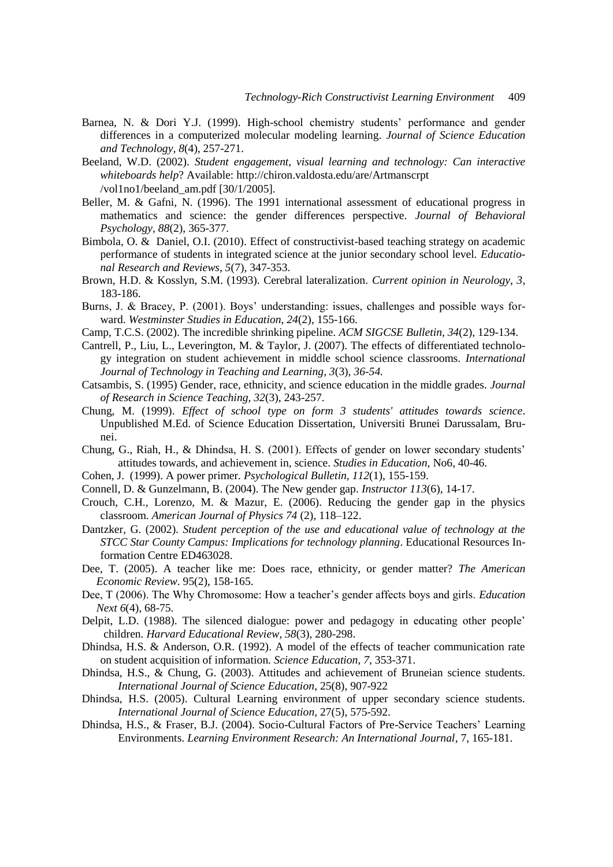- Barnea, N. & Dori Y.J. (1999). High-school chemistry students' performance and gender differences in a computerized molecular modeling learning. *Journal of Science Education and Technology, 8*(4), 257-271.
- Beeland, W.D. (2002). *Student engagement, visual learning and technology: Can interactive whiteboards help*? Available: http://chiron.valdosta.edu/are/Artmanscrpt /vol1no1/beeland\_am.pdf [30/1/2005].
- Beller, M. & Gafni, N. (1996). The 1991 international assessment of educational progress in mathematics and science: the gender differences perspective. *Journal of Behavioral Psychology, 88*(2), 365-377.
- Bimbola, O. & Daniel, O.I. (2010). Effect of constructivist-based teaching strategy on academic performance of students in integrated science at the junior secondary school level. *Educational Research and Reviews, 5*(7), 347-353.
- Brown, H.D. & Kosslyn, S.M. (1993). Cerebral lateralization. *Current opinion in Neurology, 3*, 183-186.
- Burns, J. & Bracey, P. (2001). Boys' understanding: issues, challenges and possible ways forward. *Westminster Studies in Education, 24*(2), 155-166.
- Camp, T.C.S. (2002). The incredible shrinking pipeline. *ACM SIGCSE Bulletin, 34*(2), 129-134.
- Cantrell, P., Liu, L., Leverington, M. & Taylor, J. (2007). The effects of differentiated technology integration on student achievement in middle school science classrooms. *International Journal of Technology in Teaching and Learning, 3*(3)*, 36-54.*
- Catsambis, S. (1995) Gender, race, ethnicity, and science education in the middle grades. *Journal of Research in Science Teaching, 32*(3), 243-257.
- Chung, M. (1999). *Effect of school type on form 3 students' attitudes towards science*. Unpublished M.Ed. of Science Education Dissertation, Universiti Brunei Darussalam, Brunei.
- Chung, G., Riah, H., & Dhindsa, H. S. (2001). Effects of gender on lower secondary students' attitudes towards, and achievement in, science*. Studies in Education*, No6, 40-46.
- Cohen, J. (1999). A power primer*. Psychological Bulletin, 112*(1), 155-159.
- Connell, D. & Gunzelmann, B. (2004). The New gender gap. *Instructor 113*(6), 14-17.
- Crouch, C.H., Lorenzo, M. & Mazur, E. (2006). Reducing the gender gap in the physics classroom. *American Journal of Physics 74* (2), 118–122.
- Dantzker, G. (2002). *Student perception of the use and educational value of technology at the STCC Star County Campus: Implications for technology planning*. Educational Resources Information Centre ED463028.
- Dee, T. (2005). A teacher like me: Does race, ethnicity, or gender matter? *The American Economic Review*. 95(2), 158-165.
- Dee, T (2006). The Why Chromosome: How a teacher's gender affects boys and girls. *Education Next 6*(4), 68-75.
- Delpit, L.D. (1988). The silenced dialogue: power and pedagogy in educating other people' children. *Harvard Educational Review*, *58*(3), 280-298.
- Dhindsa, H.S. & Anderson, O.R. (1992). A model of the effects of teacher communication rate on student acquisition of information. *Science Education, 7*, 353-371.
- Dhindsa, H.S., & Chung, G. (2003). Attitudes and achievement of Bruneian science students. *International Journal of Science Education*, 25(8), 907-922
- Dhindsa, H.S. (2005). Cultural Learning environment of upper secondary science students. *International Journal of Science Education*, 27(5), 575-592.
- Dhindsa, H.S., & Fraser, B.J. (2004). Socio-Cultural Factors of Pre-Service Teachers' Learning Environments. *Learning Environment Research: An International Journal*, 7, 165-181.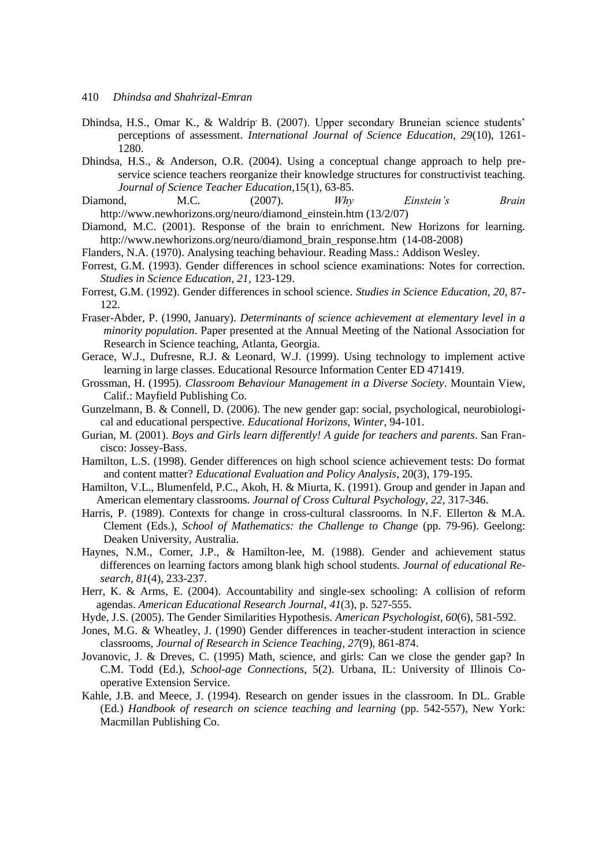- Dhindsa, H.S., Omar K., & Waldrip' B. (2007). Upper secondary Bruneian science students' perceptions of assessment. *International Journal of Science Education, 29*(10), 1261- 1280.
- Dhindsa, H.S., & Anderson, O.R. (2004). Using a conceptual change approach to help preservice science teachers reorganize their knowledge structures for constructivist teaching. *Journal of Science Teacher Education*,15(1), 63-85.
- Diamond, M.C. (2007). *Why Einstein's Brain* http://www.newhorizons.org/neuro/diamond\_einstein.htm (13/2/07)
- Diamond, M.C. (2001). Response of the brain to enrichment. New Horizons for learning. [http://www.newhorizons.org/neuro/diamond\\_brain\\_response.htm](http://www.newhorizons.org/neuro/diamond_brain_response.htm) (14-08-2008)
- Flanders, N.A. (1970). Analysing teaching behaviour. Reading Mass.: Addison Wesley.
- Forrest, G.M. (1993). Gender differences in school science examinations: Notes for correction. *Studies in Science Education, 21*, 123-129.
- Forrest, G.M. (1992). Gender differences in school science. *Studies in Science Education, 20*, 87- 122.
- Fraser-Abder, P. (1990, January). *Determinants of science achievement at elementary level in a minority population*. Paper presented at the Annual Meeting of the National Association for Research in Science teaching, Atlanta, Georgia.
- Gerace, W.J., Dufresne, R.J. & Leonard, W.J. (1999). Using technology to implement active learning in large classes. Educational Resource Information Center ED 471419.
- Grossman, H. (1995). *Classroom Behaviour Management in a Diverse Society*. Mountain View, Calif.: Mayfield Publishing Co.
- Gunzelmann, B. & Connell, D. (2006). The new gender gap: social, psychological, neurobiological and educational perspective. *Educational Horizons, Winter*, 94-101.
- Gurian, M. (2001). *Boys and Girls learn differently! A guide for teachers and parents*. San Francisco: Jossey-Bass.
- [Hamilton,](http://www.rand.org/pubs/authors/h/hamilton_laura_s.html) L.S. (1998). Gender differences on high school science achievement tests: Do format and content matter? *Educational Evaluation and Policy Analysis*, 20(3), 179-195.
- Hamilton, V.L., Blumenfeld, P.C., Akoh, H. & Miurta, K. (1991). Group and gender in Japan and American elementary classrooms. *Journal of Cross Cultural Psychology, 22*, 317-346.
- Harris, P. (1989). Contexts for change in cross-cultural classrooms. In N.F. Ellerton & M.A. Clement (Eds.), *School of Mathematics: the Challenge to Change* (pp. 79-96). Geelong: Deaken University, Australia.
- Haynes, N.M., Comer, J.P., & Hamilton-lee, M. (1988). Gender and achievement status differences on learning factors among blank high school students. *Journal of educational Research, 81*(4), 233-237.
- Herr, K. & Arms, E. (2004). Accountability and single-sex schooling: A collision of reform agendas. *American Educational Research Journal*, *41*(3), p. 527-555.
- Hyde, J.S. (2005). The Gender Similarities Hypothesis. *American Psychologist, 60*(6), 581-592.
- Jones, M.G. & Wheatley, J. (1990) Gender differences in teacher-student interaction in science classrooms, *Journal of Research in Science Teaching, 27*(9), 861-874.
- Jovanovic, J. & Dreves, C. (1995) Math, science, and girls: Can we close the gender gap? In C.M. Todd (Ed.), *School-age Connections*, 5(2). Urbana, IL: University of Illinois Cooperative Extension Service.
- Kahle, J.B. and Meece, J. (1994). Research on gender issues in the classroom. In DL. Grable (Ed.) *Handbook of research on science teaching and learning* (pp. 542-557), New York: Macmillan Publishing Co.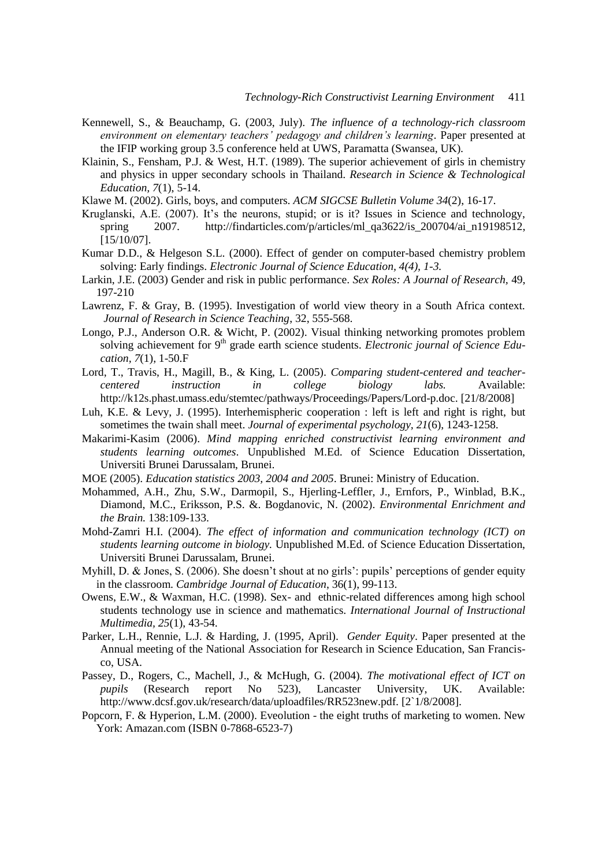- Kennewell, S., & Beauchamp, G. (2003, July). *The influence of a technology-rich classroom environment on elementary teachers' pedagogy and children's learning*. Paper presented at the IFIP working group 3.5 conference held at UWS, Paramatta (Swansea, UK).
- Klainin, S., Fensham, P.J. & West, H.T. (1989). The superior achievement of girls in chemistry and physics in upper secondary schools in Thailand. *Research in Science & Technological Education, 7*(1), 5-14.
- Klawe M. (2002). Girls, boys, and computers. *ACM SIGCSE Bulletin Volume 34*(2), 16-17.
- Kruglanski, A.E. (2007). It's the neurons, stupid; or is it? Issues in Science and technology, spring 2007. [http://findarticles.com/p/articles/ml\\_qa3622/is\\_200704/ai\\_n19198512,](http://findarticles.com/p/articles/ml_qa3622/is_200704/ai_n19198512) [15/10/07].
- Kumar D.D., & Helgeson S.L. (2000). Effect of gender on computer-based chemistry problem solving: Early findings. *Electronic Journal of Science Education, 4(4), 1-3.*
- Larkin, J.E. (2003) Gender and risk in public performance. *Sex Roles: A Journal of Research,* 49, 197-210
- Lawrenz, F. & Gray, B. (1995). Investigation of world view theory in a South Africa context. *Journal of Research in Science Teaching*, 32, 555-568.
- Longo, P.J., Anderson O.R. & Wicht, P. (2002). Visual thinking networking promotes problem solving achievement for 9<sup>th</sup> grade earth science students. *Electronic journal of Science Education, 7*(1), 1-50.F
- Lord, T., Travis, H., Magill, B., & King, L. (2005). *Comparing student-centered and teachercentered instruction in college biology labs.* Available: http://k12s.phast.umass.edu/stemtec/pathways/Proceedings/Papers/Lord-p.doc. [21/8/2008]
- Luh, K.E. & Levy, J. (1995). Interhemispheric cooperation : left is left and right is right, but sometimes the twain shall meet. *Journal of experimental psychology, 21*(6), 1243-1258.
- Makarimi-Kasim (2006). *Mind mapping enriched constructivist learning environment and students learning outcomes*. Unpublished M.Ed. of Science Education Dissertation, Universiti Brunei Darussalam, Brunei.
- MOE (2005). *Education statistics 2003, 2004 and 2005*. Brunei: Ministry of Education.
- Mohammed, A.H., Zhu, S.W., Darmopil, S., Hjerling-Leffler, J., Ernfors, P., Winblad, B.K., Diamond, M.C., Eriksson, P.S. &. Bogdanovic, N. (2002). *Environmental Enrichment and the Brain.* 138:109-133.
- Mohd-Zamri H.I. (2004). *The effect of information and communication technology (ICT) on students learning outcome in biology.* Unpublished M.Ed. of Science Education Dissertation, Universiti Brunei Darussalam, Brunei.
- Myhill, D. & Jones, S. (2006). She doesn't shout at no girls': pupils' perceptions of gender equity in the classroom. *Cambridge Journal of Education*, 36(1), 99-113.
- Owens, E.W., & Waxman, H.C. (1998). Sex- and ethnic-related differences among high school students technology use in science and mathematics. *International Journal of Instructional Multimedia, 25*(1), 43-54.
- Parker, L.H., Rennie, L.J. & Harding, J. (1995, April). *Gender Equity*. Paper presented at the Annual meeting of the National Association for Research in Science Education, San Francisco, USA.
- Passey, D., Rogers, C., Machell, J., & McHugh, G. (2004). *The motivational effect of ICT on pupils* (Research report No 523), Lancaster University, UK. Available: http://www.dcsf.gov.uk/research/data/uploadfiles/RR523new.pdf. [2`1/8/2008].
- Popcorn, F. & Hyperion, L.M. (2000). Eveolution the eight truths of marketing to women. New York: Amazan.com (ISBN 0-7868-6523-7)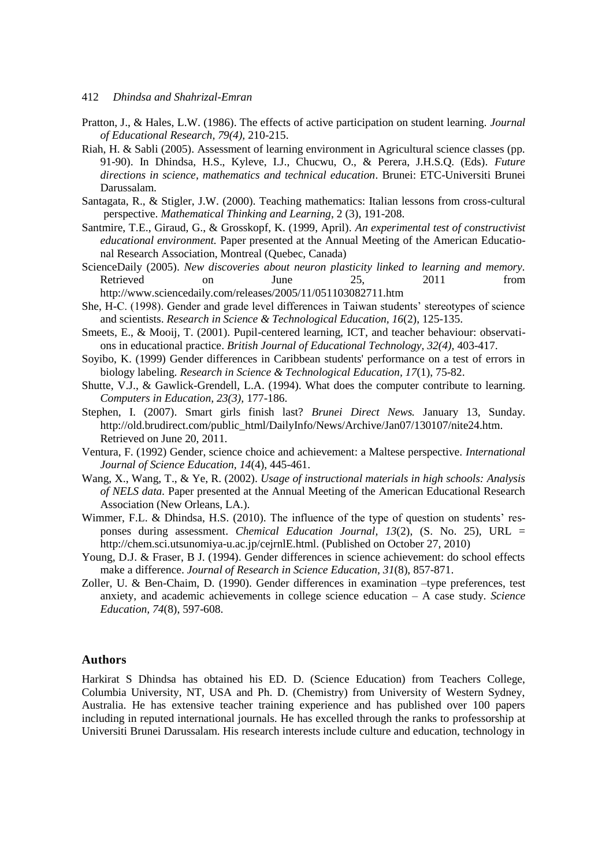- Pratton, J., & Hales, L.W. (1986). The effects of active participation on student learning. *Journal of Educational Research, 79(4),* 210-215.
- Riah, H. & Sabli (2005). Assessment of learning environment in Agricultural science classes (pp. 91-90). In Dhindsa, H.S., Kyleve, I.J., Chucwu, O., & Perera, J.H.S.Q. (Eds). *Future directions in science, mathematics and technical education*. Brunei: ETC-Universiti Brunei Darussalam.
- Santagata, R., & Stigler, J.W. (2000). Teaching mathematics: Italian lessons from cross-cultural perspective. *Mathematical Thinking and Learning*, 2 (3), 191-208.
- Santmire, T.E., Giraud, G., & Grosskopf, K. (1999, April). *An experimental test of constructivist educational environment.* Paper presented at the Annual Meeting of the American Educational Research Association, Montreal (Quebec, Canada)
- ScienceDaily (2005). *New discoveries about neuron plasticity linked to learning and memory.* Retrieved on June 25, 2011 from <http://www.sciencedaily.com/releases/2005/11/051103082711.htm>
- She, H-C. (1998). Gender and grade level differences in Taiwan students' stereotypes of science and scientists. *Research in Science & Technological Education, 16*(2), 125-135.
- Smeets, E., & Mooij, T. (2001). Pupil-centered learning, ICT, and teacher behaviour: observations in educational practice. *British Journal of Educational Technology, 32(4),* 403-417.
- Soyibo, K. (1999) Gender differences in Caribbean students' performance on a test of errors in biology labeling. *Research in Science & Technological Education, 17*(1), 75-82.
- Shutte, V.J., & Gawlick-Grendell, L.A. (1994). What does the computer contribute to learning. *Computers in Education, 23(3),* 177-186.
- Stephen, I. (2007). Smart girls finish last? *Brunei Direct News.* January 13, Sunday. [http://old.brudirect.com/public\\_html/DailyInfo/News/Archive/Jan07/130107/nite24.htm.](http://old.brudirect.com/public_html/DailyInfo/News/Archive/Jan07/130107/nite24.htm) Retrieved on June 20, 2011.
- Ventura, F. (1992) Gender, science choice and achievement: a Maltese perspective. *International Journal of Science Education, 14*(4), 445-461.
- Wang, X., Wang, T., & Ye, R. (2002). *Usage of instructional materials in high schools: Analysis of NELS data.* Paper presented at the Annual Meeting of the American Educational Research Association (New Orleans, LA.).
- Wimmer, F.L. & Dhindsa, H.S. (2010). [The influence of the type of question on students' res](http://chem.sci.utsunomiya-u.ac.jp/v13n2/21F_Wimmer/Wimmer.html)[ponses during assessment.](http://chem.sci.utsunomiya-u.ac.jp/v13n2/21F_Wimmer/Wimmer.html) *Chemical Education Journal, 13*(2), (S. No. 25), URL = http://chem.sci.utsunomiya-u.ac.jp/cejrnlE.html. (Published on October 27, 2010)
- Young, D.J. & Fraser, B J. (1994). Gender differences in science achievement: do school effects make a difference. *Journal of Research in Science Education, 31*(8), 857-871.
- Zoller, U. & Ben-Chaim, D. (1990). Gender differences in examination –type preferences, test anxiety, and academic achievements in college science education – A case study. *Science Education, 74*(8), 597-608.

#### **Authors**

Harkirat S Dhindsa has obtained his ED. D. (Science Education) from Teachers College, Columbia University, NT, USA and Ph. D. (Chemistry) from University of Western Sydney, Australia. He has extensive teacher training experience and has published over 100 papers including in reputed international journals. He has excelled through the ranks to professorship at Universiti Brunei Darussalam. His research interests include culture and education, technology in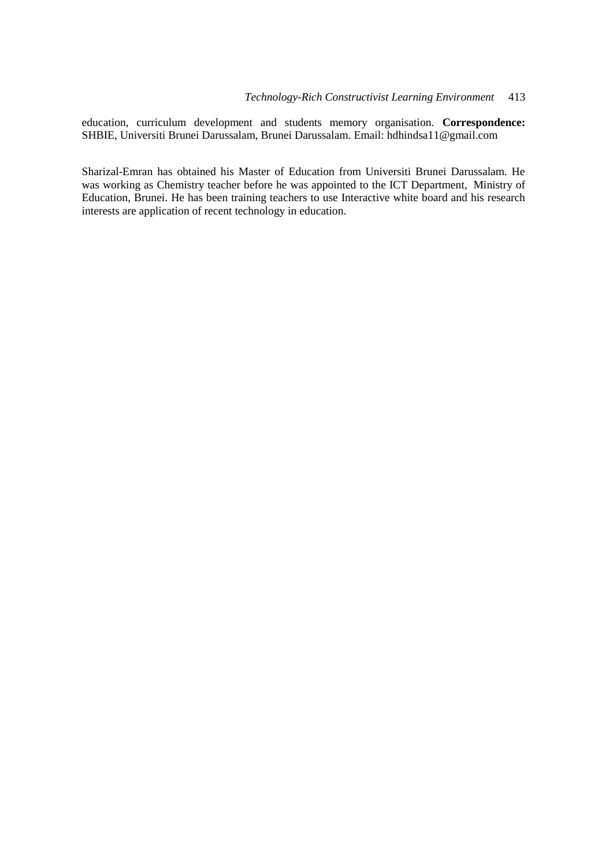education, curriculum development and students memory organisation. **Correspondence:** SHBIE, Universiti Brunei Darussalam, Brunei Darussalam. Email: hdhindsa11@gmail.com

Sharizal-Emran has obtained his Master of Education from Universiti Brunei Darussalam. He was working as Chemistry teacher before he was appointed to the ICT Department, Ministry of Education, Brunei. He has been training teachers to use Interactive white board and his research interests are application of recent technology in education.